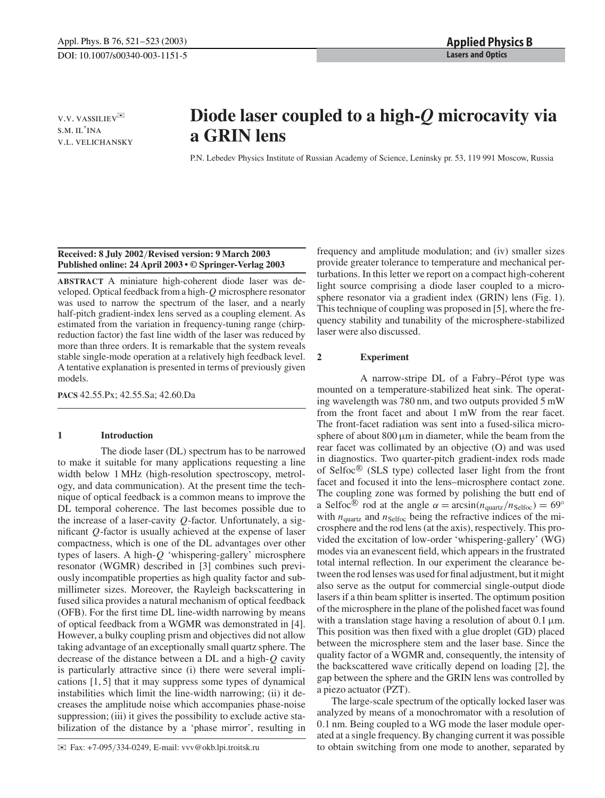v.v. vassiliev✉ s.m. il'ina v.l. velichansky

# **Diode laser coupled to a high-***Q* **microcavity via a GRIN lens**

P.N. Lebedev Physics Institute of Russian Academy of Science, Leninsky pr. 53, 119 991 Moscow, Russia

## **Received: 8 July 2002**/**Revised version: 9 March 2003 Published online: 24 April 2003 • © Springer-Verlag 2003**

**ABSTRACT** A miniature high-coherent diode laser was developed. Optical feedback from a high-*Q* microsphere resonator was used to narrow the spectrum of the laser, and a nearly half-pitch gradient-index lens served as a coupling element. As estimated from the variation in frequency-tuning range (chirpreduction factor) the fast line width of the laser was reduced by more than three orders. It is remarkable that the system reveals stable single-mode operation at a relatively high feedback level. A tentative explanation is presented in terms of previously given models.

**PACS** 42.55.Px; 42.55.Sa; 42.60.Da

### **1 Introduction**

The diode laser (DL) spectrum has to be narrowed to make it suitable for many applications requesting a line width below 1 MHz (high-resolution spectroscopy, metrology, and data communication). At the present time the technique of optical feedback is a common means to improve the DL temporal coherence. The last becomes possible due to the increase of a laser-cavity *Q*-factor. Unfortunately, a significant *Q*-factor is usually achieved at the expense of laser compactness, which is one of the DL advantages over other types of lasers. A high-*Q* 'whispering-gallery' microsphere resonator (WGMR) described in [3] combines such previously incompatible properties as high quality factor and submillimeter sizes. Moreover, the Rayleigh backscattering in fused silica provides a natural mechanism of optical feedback (OFB). For the first time DL line-width narrowing by means of optical feedback from a WGMR was demonstrated in [4]. However, a bulky coupling prism and objectives did not allow taking advantage of an exceptionally small quartz sphere. The decrease of the distance between a DL and a high-*Q* cavity is particularly attractive since (i) there were several implications [1, 5] that it may suppress some types of dynamical instabilities which limit the line-width narrowing; (ii) it decreases the amplitude noise which accompanies phase-noise suppression; (iii) it gives the possibility to exclude active stabilization of the distance by a 'phase mirror', resulting in

✉ Fax: +7-095/334-0249, E-mail: vvv@okb.lpi.troitsk.ru

frequency and amplitude modulation; and (iv) smaller sizes provide greater tolerance to temperature and mechanical perturbations. In this letter we report on a compact high-coherent light source comprising a diode laser coupled to a microsphere resonator via a gradient index (GRIN) lens (Fig. 1). This technique of coupling was proposed in [5], where the frequency stability and tunability of the microsphere-stabilized laser were also discussed.

## **2 Experiment**

A narrow-stripe DL of a Fabry–Pérot type was mounted on a temperature-stabilized heat sink. The operating wavelength was 780 nm, and two outputs provided 5 mW from the front facet and about 1 mW from the rear facet. The front-facet radiation was sent into a fused-silica microsphere of about  $800 \mu m$  in diameter, while the beam from the rear facet was collimated by an objective (O) and was used in diagnostics. Two quarter-pitch gradient-index rods made of Selfoc $\mathcal{B}$  (SLS type) collected laser light from the front facet and focused it into the lens–microsphere contact zone. The coupling zone was formed by polishing the butt end of a Selfoc<sup>®</sup> rod at the angle  $\alpha = \arcsin(n_{\text{quartz}}/n_{\text{Selfoc}}) = 69^\circ$ with  $n_{\text{quartz}}$  and  $n_{\text{Selfoc}}$  being the refractive indices of the microsphere and the rod lens (at the axis), respectively. This provided the excitation of low-order 'whispering-gallery' (WG) modes via an evanescent field, which appears in the frustrated total internal reflection. In our experiment the clearance between the rod lenses was used for final adjustment, but it might also serve as the output for commercial single-output diode lasers if a thin beam splitter is inserted. The optimum position of the microsphere in the plane of the polished facet was found with a translation stage having a resolution of about  $0.1 \mu m$ . This position was then fixed with a glue droplet (GD) placed between the microsphere stem and the laser base. Since the quality factor of a WGMR and, consequently, the intensity of the backscattered wave critically depend on loading [2], the gap between the sphere and the GRIN lens was controlled by a piezo actuator (PZT).

The large-scale spectrum of the optically locked laser was analyzed by means of a monochromator with a resolution of 0.1 nm. Being coupled to a WG mode the laser module operated at a single frequency. By changing current it was possible to obtain switching from one mode to another, separated by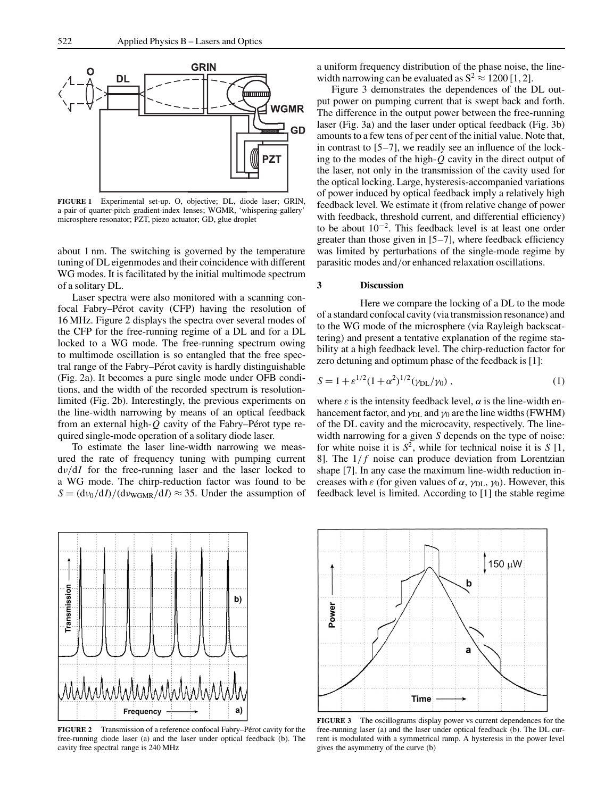

**FIGURE 1** Experimental set-up. O, objective; DL, diode laser; GRIN, a pair of quarter-pitch gradient-index lenses; WGMR, 'whispering-gallery' microsphere resonator; PZT, piezo actuator; GD, glue droplet

about 1 nm. The switching is governed by the temperature tuning of DL eigenmodes and their coincidence with different WG modes. It is facilitated by the initial multimode spectrum of a solitary DL.

Laser spectra were also monitored with a scanning confocal Fabry–Pérot cavity (CFP) having the resolution of 16 MHz. Figure 2 displays the spectra over several modes of the CFP for the free-running regime of a DL and for a DL locked to a WG mode. The free-running spectrum owing to multimode oscillation is so entangled that the free spectral range of the Fabry–Pérot cavity is hardly distinguishable (Fig. 2a). It becomes a pure single mode under OFB conditions, and the width of the recorded spectrum is resolutionlimited (Fig. 2b). Interestingly, the previous experiments on the line-width narrowing by means of an optical feedback from an external high- $Q$  cavity of the Fabry–Pérot type required single-mode operation of a solitary diode laser.

To estimate the laser line-width narrowing we measured the rate of frequency tuning with pumping current dν/d*I* for the free-running laser and the laser locked to a WG mode. The chirp-reduction factor was found to be  $S = (d\nu_0/dI)/(d\nu_{\text{WGMR}}/dI) \approx 35$ . Under the assumption of a uniform frequency distribution of the phase noise, the linewidth narrowing can be evaluated as  $S^2 \approx 1200$  [1, 2].

Figure 3 demonstrates the dependences of the DL output power on pumping current that is swept back and forth. The difference in the output power between the free-running laser (Fig. 3a) and the laser under optical feedback (Fig. 3b) amounts to a few tens of per cent of the initial value. Note that, in contrast to [5–7], we readily see an influence of the locking to the modes of the high-*Q* cavity in the direct output of the laser, not only in the transmission of the cavity used for the optical locking. Large, hysteresis-accompanied variations of power induced by optical feedback imply a relatively high feedback level. We estimate it (from relative change of power with feedback, threshold current, and differential efficiency) to be about 10−2. This feedback level is at least one order greater than those given in [5–7], where feedback efficiency was limited by perturbations of the single-mode regime by parasitic modes and/or enhanced relaxation oscillations.

#### **3 Discussion**

Here we compare the locking of a DL to the mode of a standard confocal cavity (via transmission resonance) and to the WG mode of the microsphere (via Rayleigh backscattering) and present a tentative explanation of the regime stability at a high feedback level. The chirp-reduction factor for zero detuning and optimum phase of the feedback is [1]:

$$
S = 1 + \varepsilon^{1/2} (1 + \alpha^2)^{1/2} (\gamma_{\text{DL}} / \gamma_0), \tag{1}
$$

where  $\varepsilon$  is the intensity feedback level,  $\alpha$  is the line-width enhancement factor, and  $\gamma_{\text{DL}}$  and  $\gamma_0$  are the line widths (FWHM) of the DL cavity and the microcavity, respectively. The linewidth narrowing for a given *S* depends on the type of noise: for white noise it is  $S^2$ , while for technical noise it is  $S[1]$ , 8]. The  $1/f$  noise can produce deviation from Lorentzian shape [7]. In any case the maximum line-width reduction increases with  $\varepsilon$  (for given values of  $\alpha$ ,  $\gamma_{\text{DL}}$ ,  $\gamma_0$ ). However, this feedback level is limited. According to [1] the stable regime



FIGURE 2 Transmission of a reference confocal Fabry–Pérot cavity for the free-running diode laser (a) and the laser under optical feedback (b). The cavity free spectral range is 240 MHz



**FIGURE 3** The oscillograms display power vs current dependences for the free-running laser (a) and the laser under optical feedback (b). The DL current is modulated with a symmetrical ramp. A hysteresis in the power level gives the asymmetry of the curve (b)